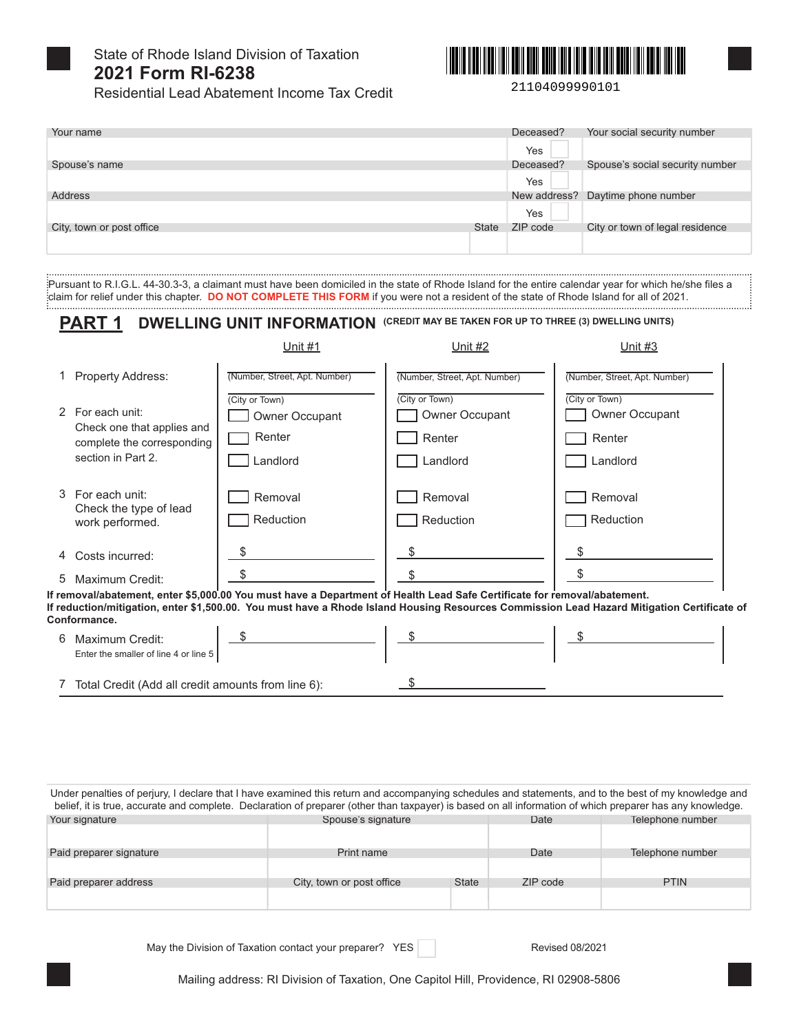

State of Rhode Island Division of Taxation 2021 Form RI-6238



Residential Lead Abatement Income Tax Credit

| Your name                 |              | Deceased?    | Your social security number     |
|---------------------------|--------------|--------------|---------------------------------|
|                           |              | Yes          |                                 |
| Spouse's name             |              | Deceased?    | Spouse's social security number |
|                           |              | Yes          |                                 |
| Address                   |              | New address? | Daytime phone number            |
|                           |              | Yes          |                                 |
| City, town or post office | <b>State</b> | ZIP code     | City or town of legal residence |
|                           |              |              |                                 |

Pursuant to R.I.G.L. 44-30.3-3, a claimant must have been domiciled in the state of Rhode Island for the entire calendar year for which he/she files a :<br>claim for relief under this chapter. DO NOT COMPLETE THIS FORM if you were not a resident of the state of Rhode Island for all of 2021. 

#### **DWELLING UNIT INFORMATION** (CREDIT MAY BE TAKEN FOR UP TO THREE (3) DWELLING UNITS) PART 1

|   |                                                                                                                       | Unit #1                                           | Unit #2                                           | Unit #3                                           |  |  |  |
|---|-----------------------------------------------------------------------------------------------------------------------|---------------------------------------------------|---------------------------------------------------|---------------------------------------------------|--|--|--|
|   | 1 Property Address:                                                                                                   | (Number, Street, Apt. Number)                     | (Number, Street, Apt. Number)                     | (Number, Street, Apt. Number)                     |  |  |  |
|   | 2 For each unit:<br>Check one that applies and<br>complete the corresponding                                          | (City or Town)<br><b>Owner Occupant</b><br>Renter | (City or Town)<br><b>Owner Occupant</b><br>Renter | (City or Town)<br><b>Owner Occupant</b><br>Renter |  |  |  |
|   | section in Part 2.                                                                                                    | Landlord                                          | Landlord                                          | Landlord                                          |  |  |  |
|   | 3 For each unit:<br>Check the type of lead<br>work performed.                                                         | Removal<br><b>Reduction</b>                       | Removal<br>Reduction                              | Removal<br>Reduction                              |  |  |  |
| 4 | Costs incurred:                                                                                                       |                                                   |                                                   |                                                   |  |  |  |
| 5 | Maximum Credit:                                                                                                       |                                                   |                                                   |                                                   |  |  |  |
|   | removal/abatement, enter \$5,000.00 You must have a Department of Health Lead Safe Certificate for removal/abatement. |                                                   |                                                   |                                                   |  |  |  |

H If reduction/mitigation, enter \$1,500.00. You must have a Rhode Island Housing Resources Commission Lead Hazard Mitigation Certificate of Conformance.

| 6 Maximum Credit:<br>Enter the smaller of line 4 or line 5 |  |  |
|------------------------------------------------------------|--|--|
| Total Credit (Add all credit amounts from line 6):         |  |  |

Under penalties of perjury, I declare that I have examined this return and accompanying schedules and statements, and to the best of my knowledge and belief, it is true, accurate and complete. Declaration of preparer (other than taxpayer) is based on all information of which preparer has any knowledge.

| Your signature          | Spouse's signature        |              | Date     | Telephone number |
|-------------------------|---------------------------|--------------|----------|------------------|
|                         |                           |              |          |                  |
| Paid preparer signature | Print name                |              | Date     | Telephone number |
|                         |                           |              |          |                  |
| Paid preparer address   | City, town or post office | <b>State</b> | ZIP code | <b>PTIN</b>      |
|                         |                           |              |          |                  |

May the Division of Taxation contact your preparer? YES

Revised 08/2021

Mailing address: RI Division of Taxation, One Capitol Hill, Providence, RI 02908-5806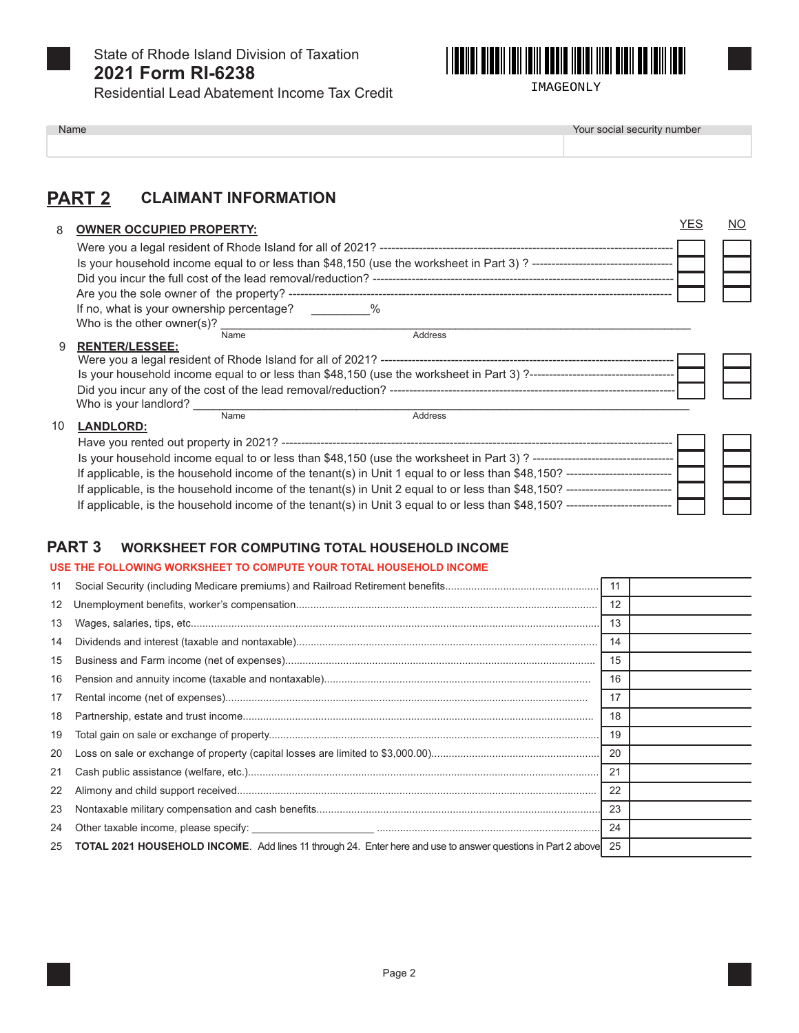

State of Rhode Island Division of Taxation 2021 Form RI-6238



Residential Lead Abatement Income Tax Credit

# Name

Your social security number

#### **PART 2 CLAIMANT INFORMATION**

| 8  | <b>OWNER OCCUPIED PROPERTY:</b>                                                                                          | YES | NO. |
|----|--------------------------------------------------------------------------------------------------------------------------|-----|-----|
|    |                                                                                                                          |     |     |
|    | Is your household income equal to or less than \$48,150 (use the worksheet in Part 3)? --------------------------------- |     |     |
|    |                                                                                                                          |     |     |
|    |                                                                                                                          |     |     |
|    | If no, what is your ownership percentage? $\%$                                                                           |     |     |
|    | Who is the other owner(s)?                                                                                               |     |     |
|    | Name<br>Address                                                                                                          |     |     |
| 9  | <b>RENTER/LESSEE:</b>                                                                                                    |     |     |
|    |                                                                                                                          |     |     |
|    |                                                                                                                          |     |     |
|    |                                                                                                                          |     |     |
|    | Who is your landlord?                                                                                                    |     |     |
|    | Name<br>Address                                                                                                          |     |     |
| 10 | <b>LANDLORD:</b>                                                                                                         |     |     |
|    |                                                                                                                          |     |     |
|    |                                                                                                                          |     |     |
|    |                                                                                                                          |     |     |
|    |                                                                                                                          |     |     |
|    |                                                                                                                          |     |     |
|    |                                                                                                                          |     |     |

#### PART<sub>3</sub> WORKSHEET FOR COMPUTING TOTAL HOUSEHOLD INCOME

# USE THE FOLLOWING WORKSHEET TO COMPUTE YOUR TOTAL HOUSEHOLD INCOME

| 11              |                                                                                                                     | 11 |  |
|-----------------|---------------------------------------------------------------------------------------------------------------------|----|--|
| 12 <sup>°</sup> |                                                                                                                     | 12 |  |
| 13              |                                                                                                                     | 13 |  |
| 14              |                                                                                                                     | 14 |  |
| 15              |                                                                                                                     | 15 |  |
| 16              |                                                                                                                     | 16 |  |
| 17              |                                                                                                                     | 17 |  |
| 18              |                                                                                                                     | 18 |  |
| 19              |                                                                                                                     | 19 |  |
| 20              |                                                                                                                     | 20 |  |
| 21              |                                                                                                                     | 21 |  |
| 22              |                                                                                                                     | 22 |  |
| 23              |                                                                                                                     | 23 |  |
| 24              |                                                                                                                     | 24 |  |
| 25              | <b>TOTAL 2021 HOUSEHOLD INCOME.</b> Add lines 11 through 24. Enter here and use to answer questions in Part 2 above | 25 |  |
|                 |                                                                                                                     |    |  |